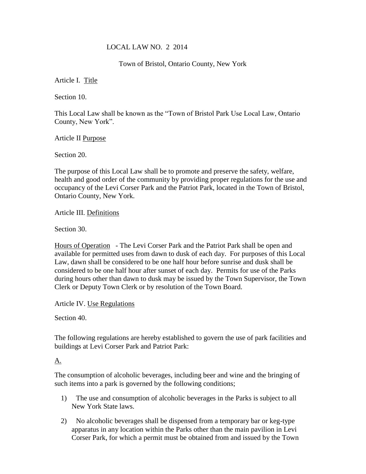#### LOCAL LAW NO. 2 2014

Town of Bristol, Ontario County, New York

Article I. Title

Section 10.

This Local Law shall be known as the "Town of Bristol Park Use Local Law, Ontario County, New York".

Article II Purpose

Section 20.

The purpose of this Local Law shall be to promote and preserve the safety, welfare, health and good order of the community by providing proper regulations for the use and occupancy of the Levi Corser Park and the Patriot Park, located in the Town of Bristol, Ontario County, New York.

Article III. Definitions

Section 30.

Hours of Operation - The Levi Corser Park and the Patriot Park shall be open and available for permitted uses from dawn to dusk of each day. For purposes of this Local Law, dawn shall be considered to be one half hour before sunrise and dusk shall be considered to be one half hour after sunset of each day. Permits for use of the Parks during hours other than dawn to dusk may be issued by the Town Supervisor, the Town Clerk or Deputy Town Clerk or by resolution of the Town Board.

Article IV. Use Regulations

Section 40.

The following regulations are hereby established to govern the use of park facilities and buildings at Levi Corser Park and Patriot Park:

[A.](9206762) 

The consumption of alcoholic beverages, including beer and wine and the bringing of such items into a park is governed by the following conditions;

- 1) The use and consumption of alcoholic beverages in the Parks is subject to all New York State laws.
- 2) No alcoholic beverages shall be dispensed from a temporary bar or keg-type apparatus in any location within the Parks other than the main pavilion in Levi Corser Park, for which a permit must be obtained from and issued by the Town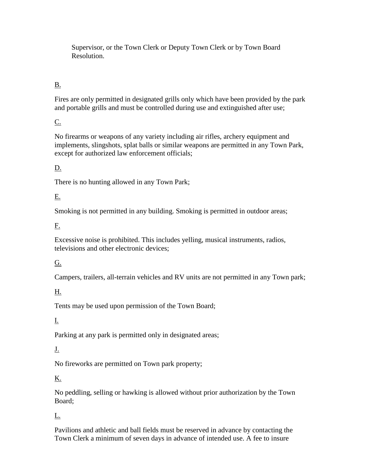Supervisor, or the Town Clerk or Deputy Town Clerk or by Town Board Resolution.

### [B.](9206765)

Fires are only permitted in designated grills only which have been provided by the park and portable grills and must be controlled during use and extinguished after use;

### [C.](9206770)

No firearms or weapons of any variety including air rifles, archery equipment and implements, slingshots, splat balls or similar weapons are permitted in any Town Park, except for authorized law enforcement officials;

# [D.](9206771)

There is no hunting allowed in any Town Park;

### [E.](9206773)

Smoking is not permitted in any building. Smoking is permitted in outdoor areas;

#### [F.](9206774)

Excessive noise is prohibited. This includes yelling, musical instruments, radios, televisions and other electronic devices;

#### [G.](9206775)

Campers, trailers, all-terrain vehicles and RV units are not permitted in any Town park;

# [H.](9206776)

Tents may be used upon permission of the Town Board;

#### [I.](9206777)

Parking at any park is permitted only in designated areas;

# [J.](13911392)

No fireworks are permitted on Town park property;

#### [K.](13911399)

No peddling, selling or hawking is allowed without prior authorization by the Town Board;

# L[.](13911400)

Pavilions and athletic and ball fields must be reserved in advance by contacting the Town Clerk a minimum of seven days in advance of intended use. A fee to insure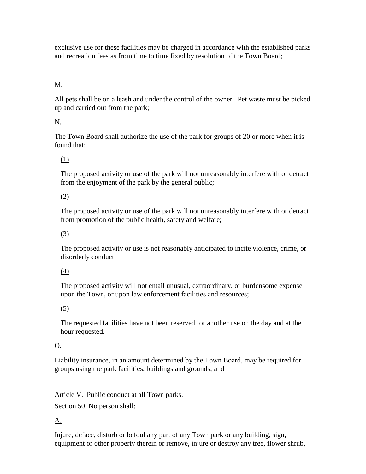exclusive use for these facilities may be charged in accordance with the established parks and recreation fees as from time to time fixed by resolution of the Town Board;

# [M.](13911401)

All pets shall be on a leash and under the control of the owner. Pet waste must be picked up and carried out from the park;

### N.

The Town Board shall authorize the use of the park for groups of 20 or more when it is found that:

# [\(1\)](13911402)

The proposed activity or use of the park will not unreasonably interfere with or detract from the enjoyment of the park by the general public;

#### [\(2\)](13911403)

The proposed activity or use of the park will not unreasonably interfere with or detract from promotion of the public health, safety and welfare;

#### [\(3\)](13911404)

The proposed activity or use is not reasonably anticipated to incite violence, crime, or disorderly conduct;

#### [\(4\)](13911405)

The proposed activity will not entail unusual, extraordinary, or burdensome expense upon the Town, or upon law enforcement facilities and resources;

#### [\(5\)](13911406)

The requested facilities have not been reserved for another use on the day and at the hour requested.

#### [O.](13911408)

Liability insurance, in an amount determined by the Town Board, may be required for groups using the park facilities, buildings and grounds; and

#### Article V. Public conduct at all Town parks.

Section 50. No person shall:

#### [A.](9206801)

Injure, deface, disturb or befoul any part of any Town park or any building, sign, equipment or other property therein or remove, injure or destroy any tree, flower shrub,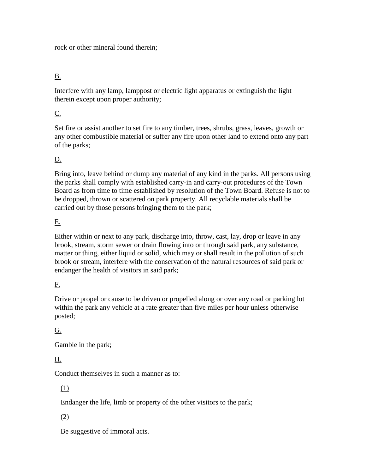rock or other mineral found therein;

# [B.](9206802)

Interfere with any lamp, lamppost or electric light apparatus or extinguish the light therein except upon proper authority;

#### [C.](9206803)

Set fire or assist another to set fire to any timber, trees, shrubs, grass, leaves, growth or any other combustible material or suffer any fire upon other land to extend onto any part of the parks;

### [D.](9206804)

Bring into, leave behind or dump any material of any kind in the parks. All persons using the parks shall comply with established carry-in and carry-out procedures of the Town Board as from time to time established by resolution of the Town Board. Refuse is not to be dropped, thrown or scattered on park property. All recyclable materials shall be carried out by those persons bringing them to the park;

#### [E.](9206805)

Either within or next to any park, discharge into, throw, cast, lay, drop or leave in any brook, stream, storm sewer or drain flowing into or through said park, any substance, matter or thing, either liquid or solid, which may or shall result in the pollution of such brook or stream, interfere with the conservation of the natural resources of said park or endanger the health of visitors in said park;

# [F.](9206806)

Drive or propel or cause to be driven or propelled along or over any road or parking lot within the park any vehicle at a rate greater than five miles per hour unless otherwise posted;

# [G.](9206807)

Gamble in the park;

# [H.](9206808)

Conduct themselves in such a manner as to:

# [\(1\)](9206809)

Endanger the life, limb or property of the other visitors to the park;

# [\(2\)](9206810)

Be suggestive of immoral acts.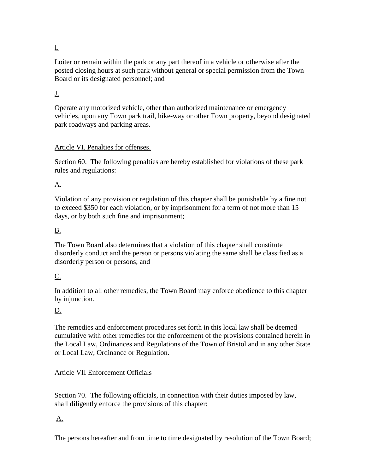# [I.](9206811)

Loiter or remain within the park or any part thereof in a vehicle or otherwise after the posted closing hours at such park without general or special permission from the Town Board or its designated personnel; and

#### [J.](9206812)

Operate any motorized vehicle, other than authorized maintenance or emergency vehicles, upon any Town park trail, hike-way or other Town property, beyond designated park roadways and parking areas.

#### Article VI. Penalties for offenses.

Section 60. The following penalties are hereby established for violations of these park rules and regulations:

# [A.](9206824)

Violation of any provision or regulation of this chapter shall be punishable by a fine not to exceed \$350 for each violation, or by imprisonment for a term of not more than 15 days, or by both such fine and imprisonment;

# [B.](9206825)

The Town Board also determines that a violation of this chapter shall constitute disorderly conduct and the person or persons violating the same shall be classified as a disorderly person or persons; and

# [C.](9206826)

In addition to all other remedies, the Town Board may enforce obedience to this chapter by injunction.

# D.

The remedies and enforcement procedures set forth in this local law shall be deemed cumulative with other remedies for the enforcement of the provisions contained herein in the Local Law, Ordinances and Regulations of the Town of Bristol and in any other State or Local Law, Ordinance or Regulation.

#### Article VII Enforcement Officials

Section 70. The following officials, in connection with their duties imposed by law, shall diligently enforce the provisions of this chapter:

# [A.](9206818)

The persons hereafter and from time to time designated by resolution of the Town Board;